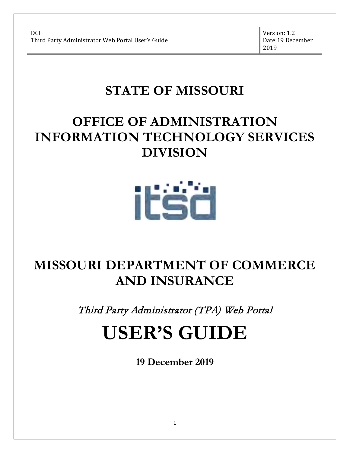Version: 1.2 Date:19 December 2019

# **STATE OF MISSOURI**

# **OFFICE OF ADMINISTRATION INFORMATION TECHNOLOGY SERVICES DIVISION**



# **MISSOURI DEPARTMENT OF COMMERCE AND INSURANCE**

Third Party Administrator (TPA) Web Portal

# **USER'S GUIDE**

**19 December 2019**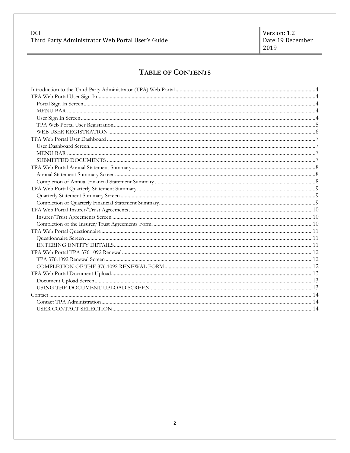#### DCI Third Party Administrator Web Portal User's Guide

# TABLE OF CONTENTS

<span id="page-1-0"></span>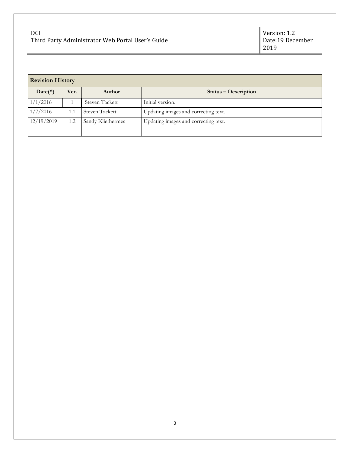| <b>Revision History</b> |      |                   |                                      |
|-------------------------|------|-------------------|--------------------------------------|
| $Date(*)$               | Ver. | Author            | Status – Description                 |
| 1/1/2016                |      | Steven Tackett    | Initial version.                     |
| 1/7/2016                | 1.1  | Steven Tackett    | Updating images and correcting text. |
| 12/19/2019              | 1.2  | Sandy Kliethermes | Updating images and correcting text. |
|                         |      |                   |                                      |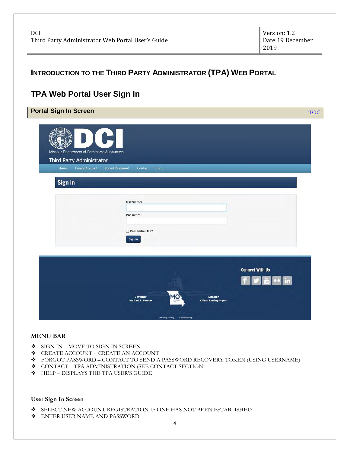# <span id="page-3-0"></span>**INTRODUCTION TO THE THIRD PARTY ADMINISTRATOR (TPA) WEB PORTAL**

# <span id="page-3-1"></span>**TPA Web Portal User Sign In**

<span id="page-3-2"></span>

| Missouri Department of Commerce & Insurance<br>Third Party Administrator |                                           |                        |
|--------------------------------------------------------------------------|-------------------------------------------|------------------------|
| Home<br>Create Account                                                   | <b>Forgot Password</b><br>Contact<br>Help |                        |
| Sign in                                                                  |                                           |                        |
|                                                                          |                                           |                        |
|                                                                          | <b>Username:</b>                          |                        |
|                                                                          |                                           |                        |
|                                                                          | Password:                                 |                        |
|                                                                          | Remember Me?                              |                        |
|                                                                          | Sign in                                   |                        |
|                                                                          |                                           |                        |
|                                                                          |                                           |                        |
|                                                                          |                                           |                        |
|                                                                          |                                           |                        |
|                                                                          |                                           | <b>Connect With Us</b> |

#### <span id="page-3-3"></span>**MENU BAR**

- SIGN IN MOVE TO SIGN IN SCREEN
- $\bullet$  CREATE ACCOUNT CREATE AN ACCOUNT
- FORGOT PASSWORD CONTACT TO SEND A PASSWORD RECOVERY TOKEN (USING USERNAME)
- $\triangleleft$  CONTACT TPA ADMINISTRATION (SEE CONTACT SECTION)
- ◆ HELP DISPLAYS THE TPA USER'S GUIDE

#### <span id="page-3-4"></span>**User Sign In Screen**

- SELECT NEW ACCOUNT REGISTRATION IF ONE HAS NOT BEEN ESTABLISHED
- $\bullet$  ENTER USER NAME AND PASSWORD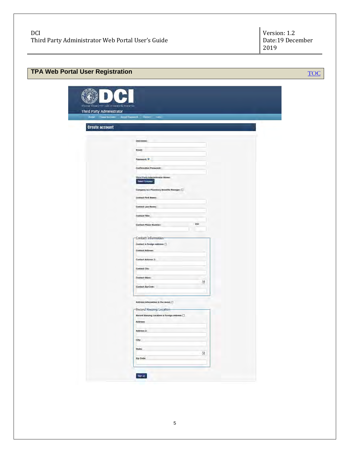<span id="page-4-0"></span>

| Mason Disserered of Concorne& reasence<br>Third Party Administrator |                                                        |  |
|---------------------------------------------------------------------|--------------------------------------------------------|--|
|                                                                     | Romé Creaz Account - Barget Rasword - Concert - Hally- |  |
| <b>Create account</b>                                               |                                                        |  |
|                                                                     | Username:                                              |  |
|                                                                     | Email:                                                 |  |
|                                                                     | Password, U                                            |  |
|                                                                     | <b>Confirmation Password:</b>                          |  |
|                                                                     | Third Party Administrator Name:<br>Select Company      |  |
|                                                                     | Company is a Pharmacy Benefits Manager: []             |  |
|                                                                     | <b>Contact First Name:</b>                             |  |
|                                                                     | Contact Last Name:                                     |  |
|                                                                     | Contact Title:                                         |  |
|                                                                     | Est<br>Contact Phone Number:                           |  |
|                                                                     | Contact Information                                    |  |
|                                                                     | Contact is foreign address: $\square$                  |  |
|                                                                     | <b>Contact Address:</b>                                |  |
|                                                                     | Contact Address 2:                                     |  |
|                                                                     | Contact City:                                          |  |
|                                                                     | <b>Contact State:</b><br>$\overline{\mathbf{v}}$       |  |
|                                                                     | Contact Zip Code:                                      |  |
|                                                                     | Address information is the same: $\Box$                |  |
|                                                                     | -Record Keeping Location-                              |  |
|                                                                     | Record Keeping Location is foreign address: [3]        |  |
|                                                                     | Address:                                               |  |
|                                                                     | Address 2:                                             |  |
|                                                                     | City:                                                  |  |
|                                                                     | State:<br>$\overline{\mathbf{M}}$                      |  |
|                                                                     | Zip Code:                                              |  |
|                                                                     | Sanual                                                 |  |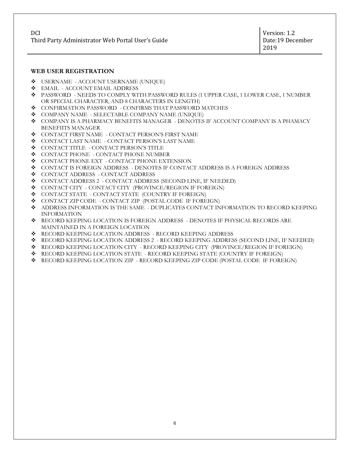#### <span id="page-5-0"></span>**WEB USER REGISTRATION**

- $\bullet$  USERNAME ACCOUNT USERNAME (UNIQUE)
- **EMAIL ACCOUNT EMAIL ADDRESS**
- PASSWORD NEEDS TO COMPLY WITH PASSWORD RULES (1 UPPER CASE, 1 LOWER CASE, 1 NUMBER OR SPECIAL CHARACTER, AND 8 CHARACTERS IN LENGTH)
- $\triangleleft$  CONFIRMATION PASSWORD CONFIRMS THAT PASSWORD MATCHES
- COMPANY NAME SELECTABLE COMPANY NAME (UNIQUE)
- COMPANY IS A PHARMACY BENEFITS MANAGER DENOTES IF ACCOUNT COMPANY IS A PHAMACY BENEFIITS MANAGER
- $\div$  CONTACT FIRST NAME CONTACT PERSON'S FIRST NAME
- $\div$  CONTACT LAST NAME CONTACT PERSON'S LAST NAME
- $\bullet$  CONTACT TITLE CONTACT PERSON'S TITLE
- $\bullet$  CONTACT PHONE CONTACT PHONE NUMBER
- $\triangleleft$  CONTACT PHONE EXT CONTACT PHONE EXTENSION
- CONTACT IS FOREIGN ADDRESS DENOTES IF CONTACT ADDRESS IS A FOREIGN ADDRESS
- $\bullet$  CONTACT ADDRESS CONTACT ADDRESS
- CONTACT ADDRESS 2 CONTACT ADDRESS (SECOND LINE, IF NEEDED)
- $\bullet$  CONTACT CITY CONTACT CITY (PROVINCE/REGION IF FOREIGN)
- $\triangleleft$  CONTACT STATE CONTACT STATE (COUNTRY IF FOREIGN)
- CONTACT ZIP CODE CONTACT ZIP (POSTAL CODE IF FOREIGN)
- ADDRESS INFORMATION IS THE SAME DUPLICATES CONTACT INFORMATION TO RECORD KEEPING INFORMATION
- RECORD KEEPING LOCATION IS FOREIGN ADDRESS DENOTES IF PHYSICAL RECORDS ARE MAINTAINED IN A FOREIGN LOCATION
- RECORD KEEPING LOCATION ADDRESS RECORD KEEPING ADDRESS
- RECORD KEEPING LOCATION ADDRESS 2 RECORD KEEPING ADDRESS (SECOND LINE, IF NEEDED)
- RECORD KEEPING LOCATION CITY RECORD KEEPING CITY (PROVINCE/REGION IF FOREIGN)
- RECORD KEEPING LOCATION STATE RECORD KEEPING STATE (COUNTRY IF FOREIGN)
- RECORD KEEPING LOCATION ZIP RECORD KEEPING ZIP CODE (POSTAL CODE IF FOREIGN)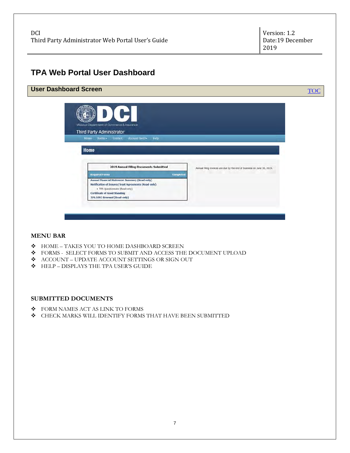# <span id="page-6-0"></span>**TPA Web Portal User Dashboard**

<span id="page-6-1"></span>

#### <span id="page-6-2"></span>**MENU BAR**

- $\triangle$  HOME TAKES YOU TO HOME DASHBOARD SCREEN
- FORMS SELECT FORMS TO SUBMIT AND ACCESS THE DOCUMENT UPLOAD
- ACCOUNT UPDATE ACCOUNT SETTINGS OR SIGN OUT
- **\*** HELP DISPLAYS THE TPA USER'S GUIDE

#### <span id="page-6-3"></span>**SUBMITTED DOCUMENTS**

- $\div$  FORM NAMES ACT AS LINK TO FORMS
- CHECK MARKS WILL IDENTIFY FORMS THAT HAVE BEEN SUBMITTED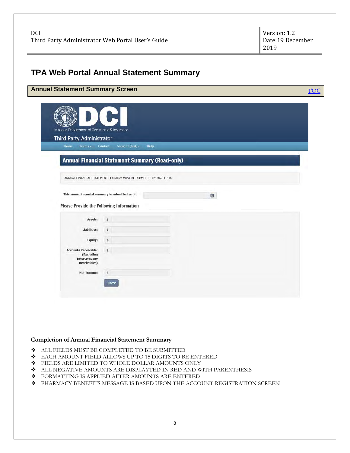# <span id="page-7-0"></span>**TPA Web Portal Annual Statement Summary**

<span id="page-7-1"></span>

| Missouri Department of Commerce & Insurance       | FI.                                                                |   |
|---------------------------------------------------|--------------------------------------------------------------------|---|
| Third Party Administrator                         |                                                                    |   |
| Home<br>Forms $-$                                 | Help<br>Contact<br>Account (test) $\sim$                           |   |
|                                                   | <b>Annual Financial Statement Summary (Read-only)</b>              |   |
|                                                   | ANNUAL FINANCIAL STATEMENT SUMMARY MUST BE SUBMITTED BY MARCH 1st. |   |
|                                                   |                                                                    |   |
| This annual financial summary is submitted as of: |                                                                    | 圈 |
| <b>Please Provide the Following Information</b>   |                                                                    |   |
| Assets:                                           | $\bar{\mathbb{S}}$                                                 |   |
| <b>Liabilities:</b>                               | $\mathsf S$                                                        |   |
| Equity:                                           | $\mathsf{\$}$                                                      |   |
| <b>Accounts Receivable:</b><br>(Excluding         | $\hat{\mathbb{S}}$                                                 |   |
|                                                   |                                                                    |   |
| Intercompany<br>Receivables)                      |                                                                    |   |

#### <span id="page-7-2"></span>**Completion of Annual Financial Statement Summary**

- ALL FIELDS MUST BE COMPLETED TO BE SUBMITTED
- EACH AMOUNT FIELD ALLOWS UP TO 15 DIGITS TO BE ENTERED
- $\div$  FIELDS ARE LIMITED TO WHOLE DOLLAR AMOUNTS ONLY
- ALL NEGATIVE AMOUNTS ARE DISPLAYTED IN RED AND WITH PARENTHESIS
- $\bullet$  FORMATTING IS APPLIED AFTER AMOUNTS ARE ENTERED
- PHARMACY BENEFITS MESSAGE IS BASED UPON THE ACCOUNT REGISTRATION SCREEN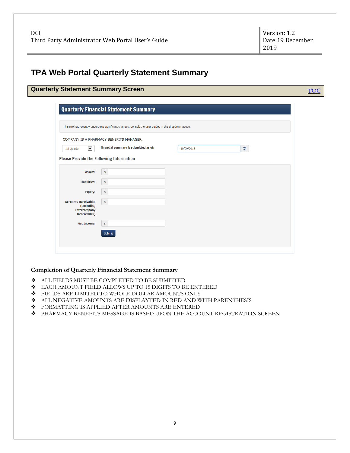# <span id="page-8-0"></span>**TPA Web Portal Quarterly Statement Summary**

<span id="page-8-1"></span>

|                                                                                                      | <b>Quarterly Statement Summary Screen</b>    |            |                    |  |  |  |
|------------------------------------------------------------------------------------------------------|----------------------------------------------|------------|--------------------|--|--|--|
|                                                                                                      | <b>Quarterly Financial Statement Summary</b> |            |                    |  |  |  |
| This site has recently undergone significant changes. Consult the user guides in the dropdown above. |                                              |            |                    |  |  |  |
| COMPANY IS A PHARMACY BENEFITS MANAGER.                                                              |                                              |            |                    |  |  |  |
| $\blacktriangledown$<br>1st Quarter                                                                  | financial summary is submitted as of:        | 10/09/2015 | $\frac{\sinh}{20}$ |  |  |  |
| <b>Please Provide the Following Information</b>                                                      |                                              |            |                    |  |  |  |
| <b>Assets:</b>                                                                                       | $\frac{4}{9}$                                |            |                    |  |  |  |
| <b>Liabilities:</b>                                                                                  | $\frac{4}{9}$                                |            |                    |  |  |  |
| <b>Equity:</b>                                                                                       | $\frac{4}{9}$                                |            |                    |  |  |  |
| <b>Accounts Receivable:</b><br>(Excluding<br><b>Intercompany</b><br><b>Receivables</b> )             | $\frac{1}{2}$                                |            |                    |  |  |  |
| <b>Net Income:</b>                                                                                   | \$<br>Submit                                 |            |                    |  |  |  |

#### <span id="page-8-2"></span>**Completion of Quarterly Financial Statement Summary**

- ALL FIELDS MUST BE COMPLETED TO BE SUBMITTED
- EACH AMOUNT FIELD ALLOWS UP TO 15 DIGITS TO BE ENTERED
- $\bullet$  FIELDS ARE LIMITED TO WHOLE DOLLAR AMOUNTS ONLY
- ALL NEGATIVE AMOUNTS ARE DISPLAYTED IN RED AND WITH PARENTHESIS
- $\bullet$  FORMATTING IS APPLIED AFTER AMOUNTS ARE ENTERED
- $\blacklozenge$  PHARMACY BENEFITS MESSAGE IS BASED UPON THE ACCOUNT REGISTRATION SCREEN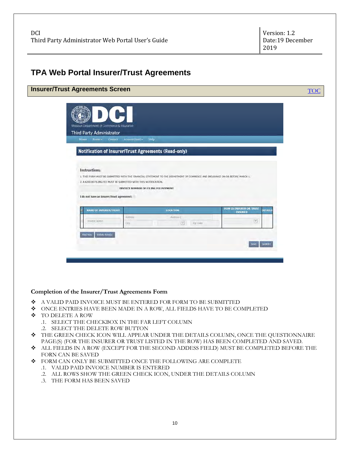# <span id="page-9-0"></span>**TPA Web Portal Insurer/Trust Agreements**

<span id="page-9-1"></span>

| Missouri Department of Commerce & Insurance            |                                                                                                                               |                                                             |  |
|--------------------------------------------------------|-------------------------------------------------------------------------------------------------------------------------------|-------------------------------------------------------------|--|
| Third Party Administrator<br>Contact<br>Home<br>Forms* | Help<br>Account (test) -                                                                                                      |                                                             |  |
|                                                        | <b>Notification of Insurer/Trust Agreements (Read-only)</b>                                                                   |                                                             |  |
|                                                        |                                                                                                                               |                                                             |  |
| Instructions:                                          |                                                                                                                               |                                                             |  |
|                                                        | 1. THIS FORM MUST BE SUBMITTED WITH THE FINANCIAL STATEMENT TO THE DEPARTMENT OF COMMERCE AND INSURANCE ON OR BEFORE MARCH 1. |                                                             |  |
|                                                        | 2. A \$250.00 FILING FEE MUST BE SUBMITTED WITH THIS NOTIFICATION.<br>INVOICE NUMBER OF FILING FEE PAYMENT                    |                                                             |  |
| I do not have an insurer/trust agreement:              |                                                                                                                               |                                                             |  |
| <b>NAME OF INSURER/TRUST</b>                           | LOCATION                                                                                                                      | <b>HOW IS INSURER OR TRUST</b><br>DETAILS<br><b>INSURED</b> |  |
| <b>Insurer Name</b>                                    | Althesy.<br>Address 2<br>$\mathcal{C}$<br>Zip Code<br>City.                                                                   | $\vert \mathbf v \vert$                                     |  |
| Delete Row(s)<br><b>Add Row</b>                        |                                                                                                                               |                                                             |  |
|                                                        |                                                                                                                               | SUBMIT<br>SAVE                                              |  |
|                                                        |                                                                                                                               |                                                             |  |

#### <span id="page-9-2"></span>**Completion of the Insurer/Trust Agreements Form**

- A VALID PAID INVOICE MUST BE ENTERED FOR FORM TO BE SUBMITTED
- ONCE ENTRIES HAVE BEEN MADE IN A ROW, ALL FIELDS HAVE TO BE COMPLETED
- TO DELETE A ROW
	- .1. SELECT THE CHECKBOX IN THE FAR LEFT COLUMN
	- .2. SELECT THE DELETE ROW BUTTON
- THE GREEN CHECK ICON WILL APPEAR UNDER THE DETAILS COLUMN, ONCE THE QUESTIONNAIRE PAGE(S) (FOR THE INSURER OR TRUST LISTED IN THE ROW) HAS BEEN COMPLETED AND SAVED.
- ALL FIELDS IN A ROW (EXCEPT FOR THE SECOND ADDESS FIELD) MUST BE COMPLETED BEFORE THE FORN CAN BE SAVED
- FORM CAN ONLY BE SUBMITTED ONCE THE FOLLOWING ARE COMPLETE
	- .1. VALID PAID INVOICE NUMBER IS ENTERED
	- .2. ALL ROWS SHOW THE GREEN CHECK ICON, UNDER THE DETAILS COLUMN
	- .3. THE FORM HAS BEEN SAVED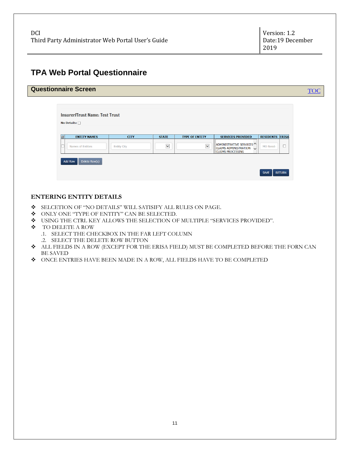# <span id="page-10-0"></span>**TPA Web Portal Questionnaire**

<span id="page-10-1"></span>

|             | <b>Insurer/Trust Name: Test Trust</b> |                    |                         |                       |                                                                                |                            |
|-------------|---------------------------------------|--------------------|-------------------------|-----------------------|--------------------------------------------------------------------------------|----------------------------|
|             | No Details: $\Box$                    |                    |                         |                       |                                                                                |                            |
| $ \vec{v} $ | <b>ENTITY NAMES</b>                   | <b>CITY</b>        | <b>STATE</b>            | <b>TYPE OF ENTITY</b> | <b>SERVICES PROVIDED</b>                                                       | <b>RESIDENTS ERISA</b>     |
|             | Names of Entities                     | <b>Entity City</b> | $\overline{\mathbf{v}}$ | $\blacktriangledown$  | ADMINISTRATIVE SERVICES<br>CLAIMS ADMINISTRATION U<br><b>CLAIMS PROCESSING</b> | $\Box$<br><b>MO Reside</b> |

#### <span id="page-10-2"></span>**ENTERING ENTITY DETAILS**

- SELCETION OF "NO DETAILS" WILL SATISIFY ALL RULES ON PAGE.
- ONLY ONE "TYPE OF ENTITY" CAN BE SELECTED.
- USING THE CTRL KEY ALLOWS THE SELECTION OF MULTIPLE "SERVICES PROVIDED".
- TO DELETE A ROW
	- .1. SELECT THE CHECKBOX IN THE FAR LEFT COLUMN
	- .2. SELECT THE DELETE ROW BUTTON
- ALL FIELDS IN A ROW (EXCEPT FOR THE ERISA FIELD) MUST BE COMPLETED BEFORE THE FORN CAN BE SAVED
- ONCE ENTRIES HAVE BEEN MADE IN A ROW, ALL FIELDS HAVE TO BE COMPLETED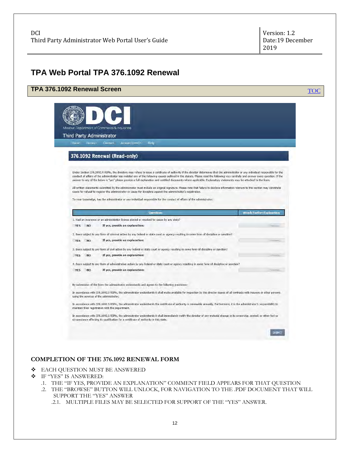## <span id="page-11-0"></span>**TPA Web Portal TPA 376.1092 Renewal**

#### <span id="page-11-1"></span>**TPA 376.1092 Renewal Screen** The Contract of the Contract of the Contract of Tocom Tocom Tocom Tocom Tocom Tocom Missouri Department of Commerce & Insurance Third Party Administrator Home Forms- Contact Account (test)- Help 376.1092 Renewal (Read-only) Under Section 376,1092.4 RSMo, the directory may refuse to issue a certificate of authority if the director determines that the administrator or any individual responsible for the conduct of affairs of the administrator has violated any of the following causes outlined in the statute. Please read the following very carefully and answer every question. If the<br>answer to any of the below is "yes" pleas All written statements submitted by the administrator must include an original signature. Please note that failure to disclose information relevant to this section may constitute cause for refusal to register the administrator or cause for discipline against the administrator's registration To your knowledge, has the administrator or any individual responsible for the conduct of affairs of the administrator: Question **Attach Further Expl** 1. Had an insurance or an administrator license denied or revoked for cause by any state? YES NO If yes, provide an explanation: 2. Been subject to any form of criminal action by any federal or state court or agency resulting in some form of discipline or sanction? YES NO If yes, provide an explanation: 3. Been subject to any form of civil action by any federal or state court or agency resulting in some form of discipline or sanction? .YES NO If yes, provide an explanation: 4. Been subject to any form of administrative action by any federal or state court or agency resulting in some form of discipline or sanction? YES NO If yes, provide an explanation: By submission of the form the administrator understands and agrees to the following provisions: In accordance with 376.1092.3 RSMo, the administrator understands it shall make available for inspection by the director copies of all contracts with insurers or other persons using the services of the administrator. In accordance with 376.1092.5 RSMo, the administrator understands the certificate of authority is renewable annually. Furthermore, it is the administrator's responsibility to maintain their registration with the Department. In accordance with 376.1092.6 RSMo, the administrator understands it shall immediately notify the director of any material change in its ownership, control, or other fact or circumstance affecting its qualification for a certificate of authority in this state. SUBMIT

#### <span id="page-11-2"></span>**COMPLETION OF THE 376.1092 RENEWAL FORM**

- **EACH OUESTION MUST BE ANSWERED**
- IF "YES" IS ANSWERED:
	- .1. THE "IF YES, PROVIDE AN EXPLANATION" COMMENT FIELD APPEARS FOR THAT QUESTION
	- .2. THE "BROWSE" BUTTON WILL UNLOCK, FOR NAVIGATION TO THE .PDF DOCUMENT THAT WILL SUPPORT THE "YES" ANSWER

.2.1. MULTIPLE FILES MAY BE SELECTED FOR SUPPORT OF THE "YES" ANSWER.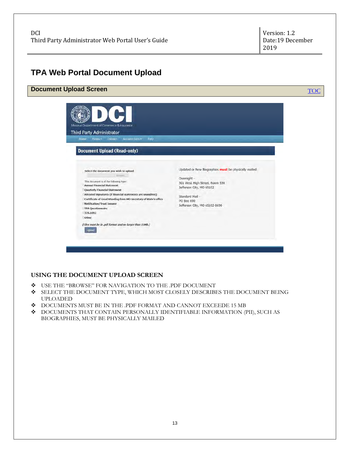## <span id="page-12-0"></span>**TPA Web Portal Document Upload**

<span id="page-12-1"></span>

#### <span id="page-12-2"></span>**USING THE DOCUMENT UPLOAD SCREEN**

- USE THE "BROWSE" FOR NAVIGATION TO THE .PDF DOCUMENT
- SELECT THE DOCUMENT TYPE, WHICH MOST CLOSELY DESCRIBES THE DOCUMENT BEING UPLOADED
- DOCUMENTS MUST BE IN THE .PDF FORMAT AND CANNOT EXCEEDE 15 MB
- DOCUMENTS THAT CONTAIN PERSONALLY IDENTIFIABLE INFORMATION (PII), SUCH AS BIOGRAPHIES, MUST BE PHYSICALLY MAILED